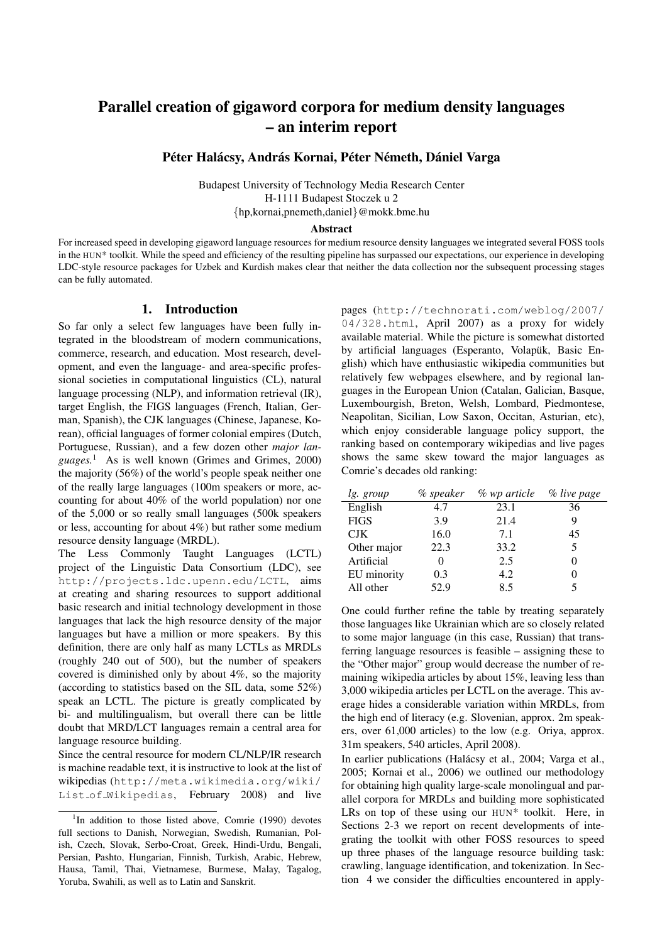# Parallel creation of gigaword corpora for medium density languages – an interim report

Péter Halácsy, András Kornai, Péter Németh, Dániel Varga

Budapest University of Technology Media Research Center H-1111 Budapest Stoczek u 2 {hp,kornai,pnemeth,daniel}@mokk.bme.hu

#### **Abstract**

For increased speed in developing gigaword language resources for medium resource density languages we integrated several FOSS tools in the HUN\* toolkit. While the speed and efficiency of the resulting pipeline has surpassed our expectations, our experience in developing LDC-style resource packages for Uzbek and Kurdish makes clear that neither the data collection nor the subsequent processing stages can be fully automated.

### 1. Introduction

So far only a select few languages have been fully integrated in the bloodstream of modern communications, commerce, research, and education. Most research, development, and even the language- and area-specific professional societies in computational linguistics (CL), natural language processing (NLP), and information retrieval (IR), target English, the FIGS languages (French, Italian, German, Spanish), the CJK languages (Chinese, Japanese, Korean), official languages of former colonial empires (Dutch, Portuguese, Russian), and a few dozen other *major languages.*<sup>1</sup> As is well known (Grimes and Grimes, 2000) the majority (56%) of the world's people speak neither one of the really large languages (100m speakers or more, accounting for about 40% of the world population) nor one of the 5,000 or so really small languages (500k speakers or less, accounting for about 4%) but rather some medium resource density language (MRDL).

The Less Commonly Taught Languages (LCTL) project of the Linguistic Data Consortium (LDC), see http://projects.ldc.upenn.edu/LCTL, aims at creating and sharing resources to support additional basic research and initial technology development in those languages that lack the high resource density of the major languages but have a million or more speakers. By this definition, there are only half as many LCTLs as MRDLs (roughly 240 out of 500), but the number of speakers covered is diminished only by about 4%, so the majority (according to statistics based on the SIL data, some 52%) speak an LCTL. The picture is greatly complicated by bi- and multilingualism, but overall there can be little doubt that MRD/LCT languages remain a central area for language resource building.

Since the central resource for modern CL/NLP/IR research is machine readable text, it is instructive to look at the list of wikipedias (http://meta.wikimedia.org/wiki/ List of Wikipedias, February 2008) and live pages (http://technorati.com/weblog/2007/ 04/328.html, April 2007) as a proxy for widely available material. While the picture is somewhat distorted by artificial languages (Esperanto, Volapük, Basic English) which have enthusiastic wikipedia communities but relatively few webpages elsewhere, and by regional languages in the European Union (Catalan, Galician, Basque, Luxembourgish, Breton, Welsh, Lombard, Piedmontese, Neapolitan, Sicilian, Low Saxon, Occitan, Asturian, etc), which enjoy considerable language policy support, the ranking based on contemporary wikipedias and live pages shows the same skew toward the major languages as Comrie's decades old ranking:

| lg. group   | % speaker | % wp article | % live page |
|-------------|-----------|--------------|-------------|
| English     | 4.7       | 23.1         | 36          |
| <b>FIGS</b> | 3.9       | 21.4         | 9           |
| CJK         | 16.0      | 7.1          | 45          |
| Other major | 22.3      | 33.2         | 5           |
| Artificial  |           | 2.5          |             |
| EU minority | 0.3       | 4.2          |             |
| All other   | 52.9      | 8.5          |             |

One could further refine the table by treating separately those languages like Ukrainian which are so closely related to some major language (in this case, Russian) that transferring language resources is feasible – assigning these to the "Other major" group would decrease the number of remaining wikipedia articles by about 15%, leaving less than 3,000 wikipedia articles per LCTL on the average. This average hides a considerable variation within MRDLs, from the high end of literacy (e.g. Slovenian, approx. 2m speakers, over 61,000 articles) to the low (e.g. Oriya, approx. 31m speakers, 540 articles, April 2008).

In earlier publications (Halácsy et al., 2004; Varga et al., 2005; Kornai et al., 2006) we outlined our methodology for obtaining high quality large-scale monolingual and parallel corpora for MRDLs and building more sophisticated LRs on top of these using our HUN\* toolkit. Here, in Sections 2-3 we report on recent developments of integrating the toolkit with other FOSS resources to speed up three phases of the language resource building task: crawling, language identification, and tokenization. In Section 4 we consider the difficulties encountered in apply-

<sup>&</sup>lt;sup>1</sup>In addition to those listed above, Comrie (1990) devotes full sections to Danish, Norwegian, Swedish, Rumanian, Polish, Czech, Slovak, Serbo-Croat, Greek, Hindi-Urdu, Bengali, Persian, Pashto, Hungarian, Finnish, Turkish, Arabic, Hebrew, Hausa, Tamil, Thai, Vietnamese, Burmese, Malay, Tagalog, Yoruba, Swahili, as well as to Latin and Sanskrit.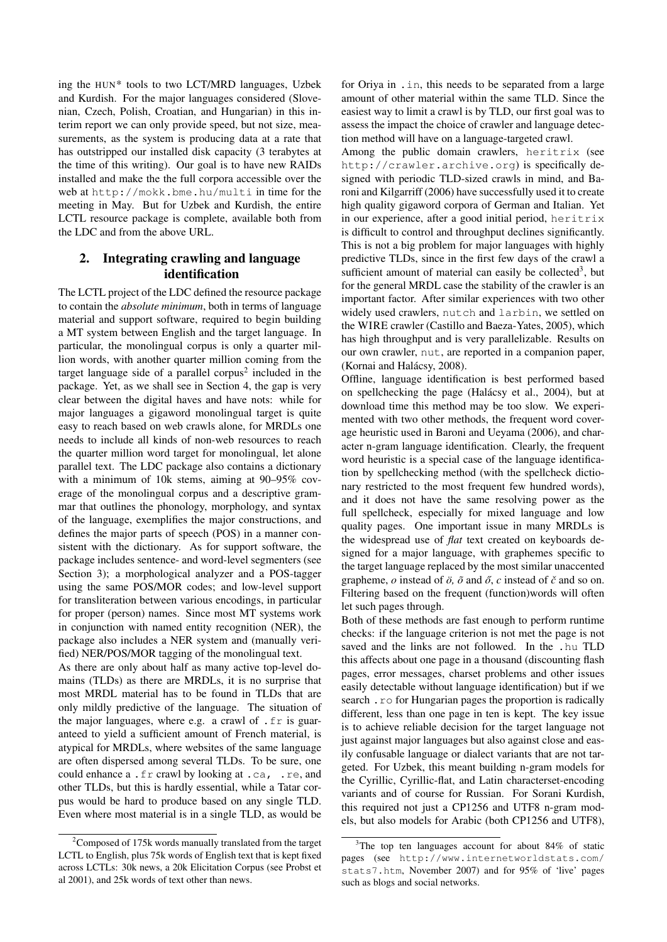ing the HUN\* tools to two LCT/MRD languages, Uzbek and Kurdish. For the major languages considered (Slovenian, Czech, Polish, Croatian, and Hungarian) in this interim report we can only provide speed, but not size, measurements, as the system is producing data at a rate that has outstripped our installed disk capacity (3 terabytes at the time of this writing). Our goal is to have new RAIDs installed and make the the full corpora accessible over the web at http://mokk.bme.hu/multi in time for the meeting in May. But for Uzbek and Kurdish, the entire LCTL resource package is complete, available both from the LDC and from the above URL.

## 2. Integrating crawling and language identification

The LCTL project of the LDC defined the resource package to contain the *absolute minimum*, both in terms of language material and support software, required to begin building a MT system between English and the target language. In particular, the monolingual corpus is only a quarter million words, with another quarter million coming from the target language side of a parallel corpus<sup>2</sup> included in the package. Yet, as we shall see in Section 4, the gap is very clear between the digital haves and have nots: while for major languages a gigaword monolingual target is quite easy to reach based on web crawls alone, for MRDLs one needs to include all kinds of non-web resources to reach the quarter million word target for monolingual, let alone parallel text. The LDC package also contains a dictionary with a minimum of 10k stems, aiming at 90–95% coverage of the monolingual corpus and a descriptive grammar that outlines the phonology, morphology, and syntax of the language, exemplifies the major constructions, and defines the major parts of speech (POS) in a manner consistent with the dictionary. As for support software, the package includes sentence- and word-level segmenters (see Section 3); a morphological analyzer and a POS-tagger using the same POS/MOR codes; and low-level support for transliteration between various encodings, in particular for proper (person) names. Since most MT systems work in conjunction with named entity recognition (NER), the package also includes a NER system and (manually verified) NER/POS/MOR tagging of the monolingual text.

As there are only about half as many active top-level domains (TLDs) as there are MRDLs, it is no surprise that most MRDL material has to be found in TLDs that are only mildly predictive of the language. The situation of the major languages, where e.g. a crawl of .fr is guaranteed to yield a sufficient amount of French material, is atypical for MRDLs, where websites of the same language are often dispersed among several TLDs. To be sure, one could enhance a .fr crawl by looking at .ca, .re, and other TLDs, but this is hardly essential, while a Tatar corpus would be hard to produce based on any single TLD. Even where most material is in a single TLD, as would be for Oriya in .in, this needs to be separated from a large amount of other material within the same TLD. Since the easiest way to limit a crawl is by TLD, our first goal was to assess the impact the choice of crawler and language detection method will have on a language-targeted crawl.

Among the public domain crawlers, heritrix (see http://crawler.archive.org) is specifically designed with periodic TLD-sized crawls in mind, and Baroni and Kilgarriff (2006) have successfully used it to create high quality gigaword corpora of German and Italian. Yet in our experience, after a good initial period, heritrix is difficult to control and throughput declines significantly. This is not a big problem for major languages with highly predictive TLDs, since in the first few days of the crawl a sufficient amount of material can easily be collected<sup>3</sup>, but for the general MRDL case the stability of the crawler is an important factor. After similar experiences with two other widely used crawlers, nutch and larbin, we settled on the WIRE crawler (Castillo and Baeza-Yates, 2005), which has high throughput and is very parallelizable. Results on our own crawler, nut, are reported in a companion paper, (Kornai and Halácsy, 2008).

Offline, language identification is best performed based on spellchecking the page (Halácsy et al., 2004), but at download time this method may be too slow. We experimented with two other methods, the frequent word coverage heuristic used in Baroni and Ueyama (2006), and character n-gram language identification. Clearly, the frequent word heuristic is a special case of the language identification by spellchecking method (with the spellcheck dictionary restricted to the most frequent few hundred words), and it does not have the same resolving power as the full spellcheck, especially for mixed language and low quality pages. One important issue in many MRDLs is the widespread use of *flat* text created on keyboards designed for a major language, with graphemes specific to the target language replaced by the most similar unaccented grapheme,  $o$  instead of  $\ddot{o}$ ,  $\ddot{o}$  and  $\ddot{o}$ ,  $c$  instead of  $\ddot{c}$  and so on. Filtering based on the frequent (function)words will often let such pages through.

Both of these methods are fast enough to perform runtime checks: if the language criterion is not met the page is not saved and the links are not followed. In the .hu TLD this affects about one page in a thousand (discounting flash pages, error messages, charset problems and other issues easily detectable without language identification) but if we search.  $\tau$  o for Hungarian pages the proportion is radically different, less than one page in ten is kept. The key issue is to achieve reliable decision for the target language not just against major languages but also against close and easily confusable language or dialect variants that are not targeted. For Uzbek, this meant building n-gram models for the Cyrillic, Cyrillic-flat, and Latin characterset-encoding variants and of course for Russian. For Sorani Kurdish, this required not just a CP1256 and UTF8 n-gram models, but also models for Arabic (both CP1256 and UTF8),

<sup>&</sup>lt;sup>2</sup>Composed of 175k words manually translated from the target LCTL to English, plus 75k words of English text that is kept fixed across LCTLs: 30k news, a 20k Elicitation Corpus (see Probst et al 2001), and 25k words of text other than news.

<sup>&</sup>lt;sup>3</sup>The top ten languages account for about 84% of static pages (see http://www.internetworldstats.com/ stats7.htm, November 2007) and for 95% of 'live' pages such as blogs and social networks.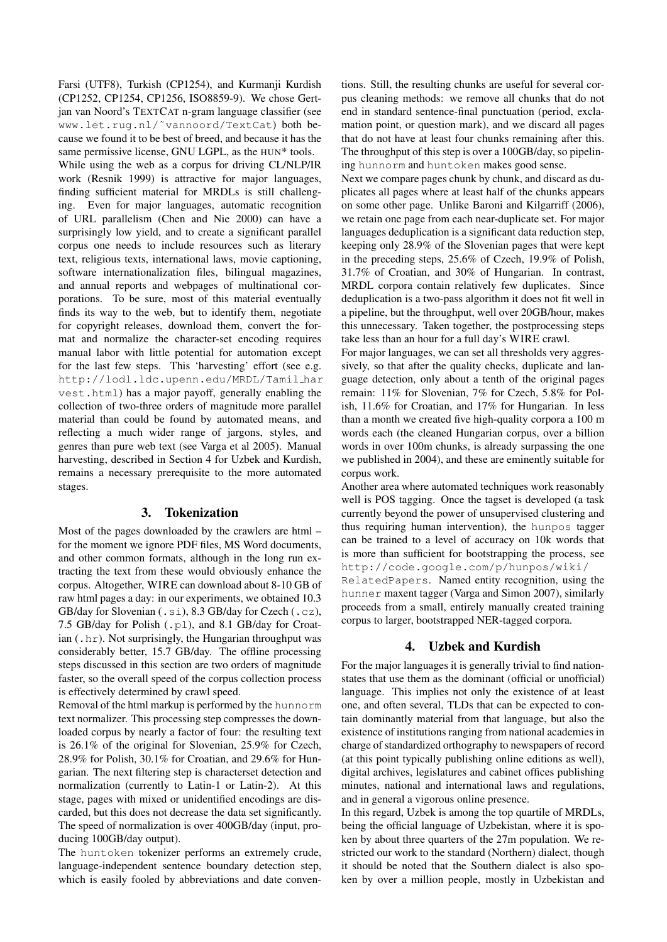Farsi (UTF8), Turkish (CP1254), and Kurmanji Kurdish (CP1252, CP1254, CP1256, ISO8859-9). We chose Gertjan van Noord's TEXTCAT n-gram language classifier (see www.let.rug.nl/˜vannoord/TextCat) both because we found it to be best of breed, and because it has the same permissive license, GNU LGPL, as the HUN\* tools. While using the web as a corpus for driving CL/NLP/IR work (Resnik 1999) is attractive for major languages, finding sufficient material for MRDLs is still challenging. Even for major languages, automatic recognition of URL parallelism (Chen and Nie 2000) can have a surprisingly low yield, and to create a significant parallel corpus one needs to include resources such as literary text, religious texts, international laws, movie captioning, software internationalization files, bilingual magazines, and annual reports and webpages of multinational corporations. To be sure, most of this material eventually finds its way to the web, but to identify them, negotiate for copyright releases, download them, convert the format and normalize the character-set encoding requires manual labor with little potential for automation except for the last few steps. This 'harvesting' effort (see e.g. http://lodl.ldc.upenn.edu/MRDL/Tamil har vest.html) has a major payoff, generally enabling the collection of two-three orders of magnitude more parallel material than could be found by automated means, and reflecting a much wider range of jargons, styles, and genres than pure web text (see Varga et al 2005). Manual harvesting, described in Section 4 for Uzbek and Kurdish, remains a necessary prerequisite to the more automated stages.

#### 3. Tokenization

Most of the pages downloaded by the crawlers are html – for the moment we ignore PDF files, MS Word documents, and other common formats, although in the long run extracting the text from these would obviously enhance the corpus. Altogether, WIRE can download about 8-10 GB of raw html pages a day: in our experiments, we obtained 10.3 GB/day for Slovenian (.si), 8.3 GB/day for Czech (.cz), 7.5 GB/day for Polish (.pl), and 8.1 GB/day for Croatian (.hr). Not surprisingly, the Hungarian throughput was considerably better, 15.7 GB/day. The offline processing steps discussed in this section are two orders of magnitude faster, so the overall speed of the corpus collection process is effectively determined by crawl speed.

Removal of the html markup is performed by the hunnorm text normalizer. This processing step compresses the downloaded corpus by nearly a factor of four: the resulting text is 26.1% of the original for Slovenian, 25.9% for Czech, 28.9% for Polish, 30.1% for Croatian, and 29.6% for Hungarian. The next filtering step is characterset detection and normalization (currently to Latin-1 or Latin-2). At this stage, pages with mixed or unidentified encodings are discarded, but this does not decrease the data set significantly. The speed of normalization is over 400GB/day (input, producing 100GB/day output).

The huntoken tokenizer performs an extremely crude, language-independent sentence boundary detection step, which is easily fooled by abbreviations and date conventions. Still, the resulting chunks are useful for several corpus cleaning methods: we remove all chunks that do not end in standard sentence-final punctuation (period, exclamation point, or question mark), and we discard all pages that do not have at least four chunks remaining after this. The throughput of this step is over a 100GB/day, so pipelining hunnorm and huntoken makes good sense.

Next we compare pages chunk by chunk, and discard as duplicates all pages where at least half of the chunks appears on some other page. Unlike Baroni and Kilgarriff (2006), we retain one page from each near-duplicate set. For major languages deduplication is a significant data reduction step, keeping only 28.9% of the Slovenian pages that were kept in the preceding steps, 25.6% of Czech, 19.9% of Polish, 31.7% of Croatian, and 30% of Hungarian. In contrast, MRDL corpora contain relatively few duplicates. Since deduplication is a two-pass algorithm it does not fit well in a pipeline, but the throughput, well over 20GB/hour, makes this unnecessary. Taken together, the postprocessing steps take less than an hour for a full day's WIRE crawl.

For major languages, we can set all thresholds very aggressively, so that after the quality checks, duplicate and language detection, only about a tenth of the original pages remain: 11% for Slovenian, 7% for Czech, 5.8% for Polish, 11.6% for Croatian, and 17% for Hungarian. In less than a month we created five high-quality corpora a 100 m words each (the cleaned Hungarian corpus, over a billion words in over 100m chunks, is already surpassing the one we published in 2004), and these are eminently suitable for corpus work.

Another area where automated techniques work reasonably well is POS tagging. Once the tagset is developed (a task currently beyond the power of unsupervised clustering and thus requiring human intervention), the hunpos tagger can be trained to a level of accuracy on 10k words that is more than sufficient for bootstrapping the process, see http://code.google.com/p/hunpos/wiki/ RelatedPapers. Named entity recognition, using the

hunner maxent tagger (Varga and Simon 2007), similarly proceeds from a small, entirely manually created training corpus to larger, bootstrapped NER-tagged corpora.

#### 4. Uzbek and Kurdish

For the major languages it is generally trivial to find nationstates that use them as the dominant (official or unofficial) language. This implies not only the existence of at least one, and often several, TLDs that can be expected to contain dominantly material from that language, but also the existence of institutions ranging from national academies in charge of standardized orthography to newspapers of record (at this point typically publishing online editions as well), digital archives, legislatures and cabinet offices publishing minutes, national and international laws and regulations, and in general a vigorous online presence.

In this regard, Uzbek is among the top quartile of MRDLs, being the official language of Uzbekistan, where it is spoken by about three quarters of the 27m population. We restricted our work to the standard (Northern) dialect, though it should be noted that the Southern dialect is also spoken by over a million people, mostly in Uzbekistan and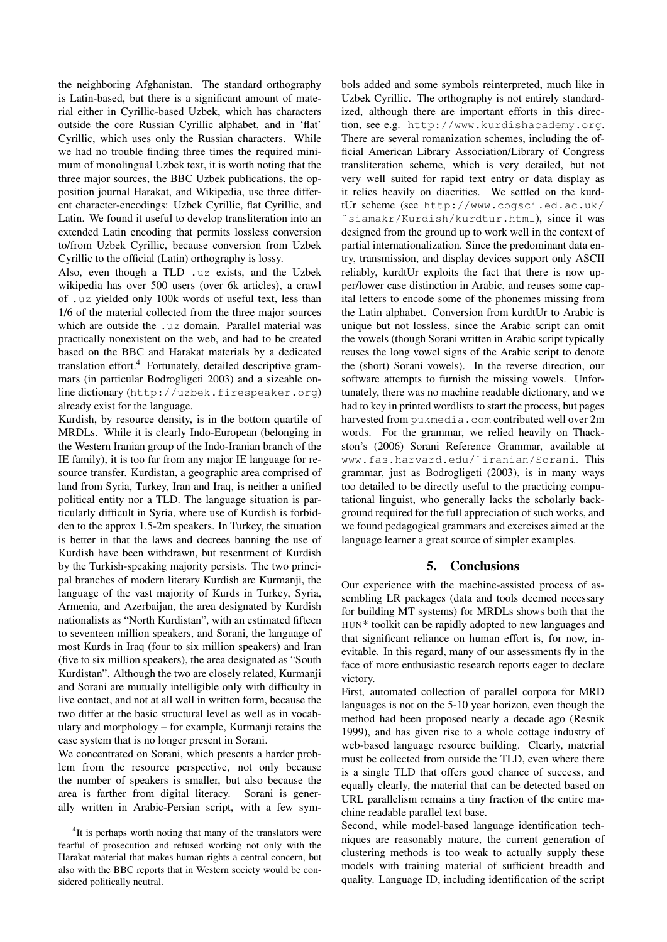the neighboring Afghanistan. The standard orthography is Latin-based, but there is a significant amount of material either in Cyrillic-based Uzbek, which has characters outside the core Russian Cyrillic alphabet, and in 'flat' Cyrillic, which uses only the Russian characters. While we had no trouble finding three times the required minimum of monolingual Uzbek text, it is worth noting that the three major sources, the BBC Uzbek publications, the opposition journal Harakat, and Wikipedia, use three different character-encodings: Uzbek Cyrillic, flat Cyrillic, and Latin. We found it useful to develop transliteration into an extended Latin encoding that permits lossless conversion to/from Uzbek Cyrillic, because conversion from Uzbek Cyrillic to the official (Latin) orthography is lossy.

Also, even though a TLD .uz exists, and the Uzbek wikipedia has over 500 users (over 6k articles), a crawl of .uz yielded only 100k words of useful text, less than 1/6 of the material collected from the three major sources which are outside the .uz domain. Parallel material was practically nonexistent on the web, and had to be created based on the BBC and Harakat materials by a dedicated translation effort.<sup>4</sup> Fortunately, detailed descriptive grammars (in particular Bodrogligeti 2003) and a sizeable online dictionary (http://uzbek.firespeaker.org) already exist for the language.

Kurdish, by resource density, is in the bottom quartile of MRDLs. While it is clearly Indo-European (belonging in the Western Iranian group of the Indo-Iranian branch of the IE family), it is too far from any major IE language for resource transfer. Kurdistan, a geographic area comprised of land from Syria, Turkey, Iran and Iraq, is neither a unified political entity nor a TLD. The language situation is particularly difficult in Syria, where use of Kurdish is forbidden to the approx 1.5-2m speakers. In Turkey, the situation is better in that the laws and decrees banning the use of Kurdish have been withdrawn, but resentment of Kurdish by the Turkish-speaking majority persists. The two principal branches of modern literary Kurdish are Kurmanji, the language of the vast majority of Kurds in Turkey, Syria, Armenia, and Azerbaijan, the area designated by Kurdish nationalists as "North Kurdistan", with an estimated fifteen to seventeen million speakers, and Sorani, the language of most Kurds in Iraq (four to six million speakers) and Iran (five to six million speakers), the area designated as "South Kurdistan". Although the two are closely related, Kurmanji and Sorani are mutually intelligible only with difficulty in live contact, and not at all well in written form, because the two differ at the basic structural level as well as in vocabulary and morphology – for example, Kurmanji retains the case system that is no longer present in Sorani.

We concentrated on Sorani, which presents a harder problem from the resource perspective, not only because the number of speakers is smaller, but also because the area is farther from digital literacy. Sorani is generally written in Arabic-Persian script, with a few symbols added and some symbols reinterpreted, much like in Uzbek Cyrillic. The orthography is not entirely standardized, although there are important efforts in this direction, see e.g. http://www.kurdishacademy.org. There are several romanization schemes, including the official American Library Association/Library of Congress transliteration scheme, which is very detailed, but not very well suited for rapid text entry or data display as it relies heavily on diacritics. We settled on the kurdtUr scheme (see http://www.cogsci.ed.ac.uk/ ˜siamakr/Kurdish/kurdtur.html), since it was designed from the ground up to work well in the context of partial internationalization. Since the predominant data entry, transmission, and display devices support only ASCII reliably, kurdtUr exploits the fact that there is now upper/lower case distinction in Arabic, and reuses some capital letters to encode some of the phonemes missing from the Latin alphabet. Conversion from kurdtUr to Arabic is unique but not lossless, since the Arabic script can omit the vowels (though Sorani written in Arabic script typically reuses the long vowel signs of the Arabic script to denote the (short) Sorani vowels). In the reverse direction, our software attempts to furnish the missing vowels. Unfortunately, there was no machine readable dictionary, and we had to key in printed wordlists to start the process, but pages harvested from pukmedia.com contributed well over 2m words. For the grammar, we relied heavily on Thackston's (2006) Sorani Reference Grammar, available at www.fas.harvard.edu/˜iranian/Sorani. This grammar, just as Bodrogligeti (2003), is in many ways too detailed to be directly useful to the practicing computational linguist, who generally lacks the scholarly background required for the full appreciation of such works, and we found pedagogical grammars and exercises aimed at the language learner a great source of simpler examples.

#### 5. Conclusions

Our experience with the machine-assisted process of assembling LR packages (data and tools deemed necessary for building MT systems) for MRDLs shows both that the HUN\* toolkit can be rapidly adopted to new languages and that significant reliance on human effort is, for now, inevitable. In this regard, many of our assessments fly in the face of more enthusiastic research reports eager to declare victory.

First, automated collection of parallel corpora for MRD languages is not on the 5-10 year horizon, even though the method had been proposed nearly a decade ago (Resnik 1999), and has given rise to a whole cottage industry of web-based language resource building. Clearly, material must be collected from outside the TLD, even where there is a single TLD that offers good chance of success, and equally clearly, the material that can be detected based on URL parallelism remains a tiny fraction of the entire machine readable parallel text base.

Second, while model-based language identification techniques are reasonably mature, the current generation of clustering methods is too weak to actually supply these models with training material of sufficient breadth and quality. Language ID, including identification of the script

<sup>&</sup>lt;sup>4</sup>It is perhaps worth noting that many of the translators were fearful of prosecution and refused working not only with the Harakat material that makes human rights a central concern, but also with the BBC reports that in Western society would be considered politically neutral.